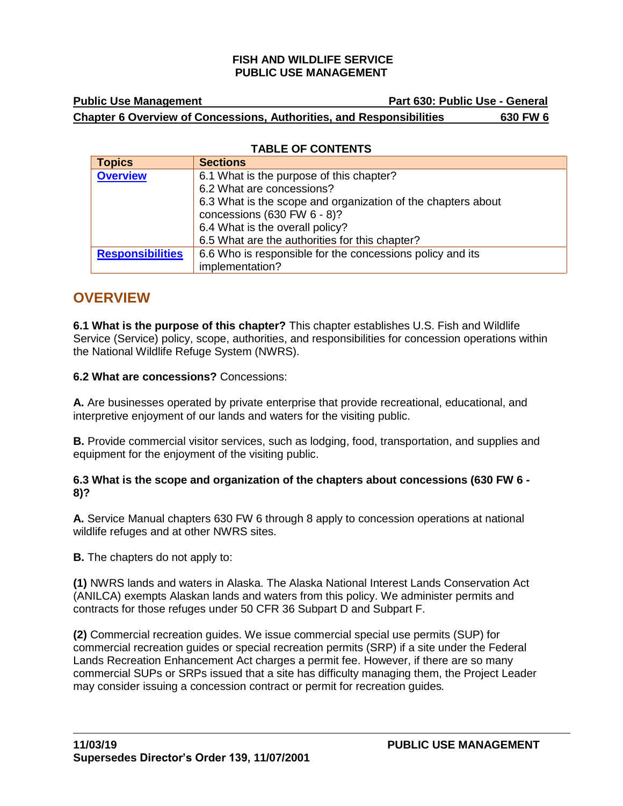# **Public Use Management Community Community Community Part 630: Public Use - General Chapter 6 Overview of Concessions, Authorities, and Responsibilities 630 FW 6**

## **TABLE OF CONTENTS**

| <b>Topics</b>           | <b>Sections</b>                                              |
|-------------------------|--------------------------------------------------------------|
| <b>Overview</b>         | 6.1 What is the purpose of this chapter?                     |
|                         | 6.2 What are concessions?                                    |
|                         | 6.3 What is the scope and organization of the chapters about |
|                         | concessions (630 FW $6 - 8$ )?                               |
|                         | 6.4 What is the overall policy?                              |
|                         | 6.5 What are the authorities for this chapter?               |
| <b>Responsibilities</b> | 6.6 Who is responsible for the concessions policy and its    |
|                         | implementation?                                              |

# <span id="page-0-0"></span>**OVERVIEW**

**6.1 What is the purpose of this chapter?** This chapter establishes U.S. Fish and Wildlife Service (Service) policy, scope, authorities, and responsibilities for concession operations within the National Wildlife Refuge System (NWRS).

**6.2 What are concessions?** Concessions:

**A.** Are businesses operated by private enterprise that provide recreational, educational, and interpretive enjoyment of our lands and waters for the visiting public.

**B.** Provide commercial visitor services, such as lodging, food, transportation, and supplies and equipment for the enjoyment of the visiting public.

### **6.3 What is the scope and organization of the chapters about concessions (630 FW 6 - 8)?**

**A.** Service Manual chapters 630 FW 6 through 8 apply to concession operations at national wildlife refuges and at other NWRS sites.

**B.** The chapters do not apply to:

**(1)** NWRS lands and waters in Alaska. The Alaska National Interest Lands Conservation Act (ANILCA) exempts Alaskan lands and waters from this policy. We administer permits and contracts for those refuges under 50 CFR 36 Subpart D and Subpart F.

**(2)** Commercial recreation guides. We issue commercial special use permits (SUP) for commercial recreation guides or special recreation permits (SRP) if a site under the Federal Lands Recreation Enhancement Act charges a permit fee. However, if there are so many commercial SUPs or SRPs issued that a site has difficulty managing them, the Project Leader may consider issuing a concession contract or permit for recreation guides*.*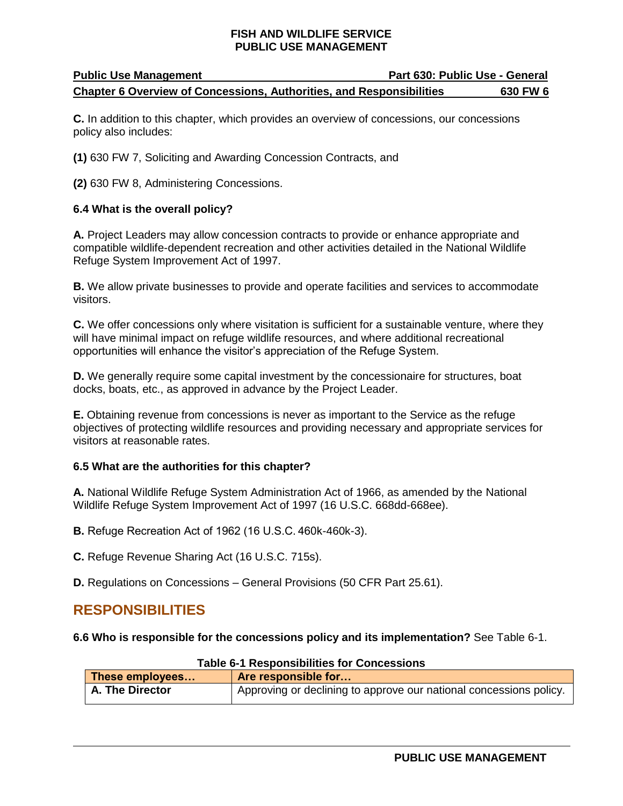## **Public Use Management Part 630: Public Use - General Chapter 6 Overview of Concessions, Authorities, and Responsibilities 630 FW 6**

**C.** In addition to this chapter, which provides an overview of concessions, our concessions policy also includes:

**(1)** 630 FW 7, Soliciting and Awarding Concession Contracts, and

**(2)** 630 FW 8, Administering Concessions.

### **6.4 What is the overall policy?**

**A.** Project Leaders may allow concession contracts to provide or enhance appropriate and compatible wildlife-dependent recreation and other activities detailed in the National Wildlife Refuge System Improvement Act of 1997.

**B.** We allow private businesses to provide and operate facilities and services to accommodate visitors.

**C.** We offer concessions only where visitation is sufficient for a sustainable venture, where they will have minimal impact on refuge wildlife resources, and where additional recreational opportunities will enhance the visitor's appreciation of the Refuge System.

**D.** We generally require some capital investment by the concessionaire for structures, boat docks, boats, etc., as approved in advance by the Project Leader.

**E.** Obtaining revenue from concessions is never as important to the Service as the refuge objectives of protecting wildlife resources and providing necessary and appropriate services for visitors at reasonable rates.

### **6.5 What are the authorities for this chapter?**

**A.** National Wildlife Refuge System Administration Act of 1966, as amended by the National Wildlife Refuge System Improvement Act of 1997 (16 U.S.C. 668dd-668ee).

**B.** Refuge Recreation Act of 1962 (16 U.S.C. 460k-460k-3).

**C.** Refuge Revenue Sharing Act (16 U.S.C. 715s).

**D.** Regulations on Concessions – General Provisions (50 CFR Part 25.61).

# <span id="page-1-0"></span>**RESPONSIBILITIES**

**6.6 Who is responsible for the concessions policy and its implementation?** See Table 6-1.

| <b>I ADIE 0-1 RESPONSIDINIES TOI CONCESSIONS</b> |                                                                    |  |
|--------------------------------------------------|--------------------------------------------------------------------|--|
| These employees                                  | Are responsible for                                                |  |
| A. The Director                                  | Approving or declining to approve our national concessions policy. |  |

# **Table 6-1 Responsibilities for Concessions**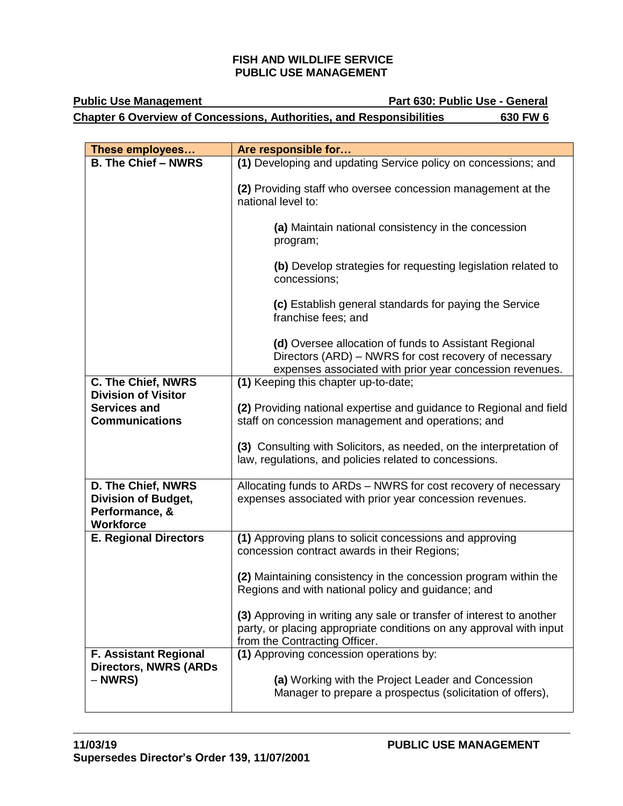# **Public Use Management Public Use - General Chapter 6 Overview of Concessions, Authorities, and Responsibilities 630 FW 6**

| These employees                                                                        | Are responsible for                                                                                                                                                          |
|----------------------------------------------------------------------------------------|------------------------------------------------------------------------------------------------------------------------------------------------------------------------------|
| <b>B. The Chief - NWRS</b>                                                             | (1) Developing and updating Service policy on concessions; and                                                                                                               |
|                                                                                        | (2) Providing staff who oversee concession management at the<br>national level to:                                                                                           |
|                                                                                        | (a) Maintain national consistency in the concession<br>program;                                                                                                              |
|                                                                                        | (b) Develop strategies for requesting legislation related to<br>concessions;                                                                                                 |
|                                                                                        | (c) Establish general standards for paying the Service<br>franchise fees; and                                                                                                |
|                                                                                        | (d) Oversee allocation of funds to Assistant Regional<br>Directors (ARD) – NWRS for cost recovery of necessary<br>expenses associated with prior year concession revenues.   |
| <b>C. The Chief, NWRS</b>                                                              | (1) Keeping this chapter up-to-date;                                                                                                                                         |
| <b>Division of Visitor</b>                                                             |                                                                                                                                                                              |
| <b>Services and</b><br><b>Communications</b>                                           | (2) Providing national expertise and guidance to Regional and field<br>staff on concession management and operations; and                                                    |
|                                                                                        | (3) Consulting with Solicitors, as needed, on the interpretation of<br>law, regulations, and policies related to concessions.                                                |
| D. The Chief, NWRS<br><b>Division of Budget,</b><br>Performance, &<br><b>Workforce</b> | Allocating funds to ARDs - NWRS for cost recovery of necessary<br>expenses associated with prior year concession revenues.                                                   |
| <b>E. Regional Directors</b>                                                           | (1) Approving plans to solicit concessions and approving<br>concession contract awards in their Regions;                                                                     |
|                                                                                        | (2) Maintaining consistency in the concession program within the<br>Regions and with national policy and guidance; and                                                       |
|                                                                                        | (3) Approving in writing any sale or transfer of interest to another<br>party, or placing appropriate conditions on any approval with input<br>from the Contracting Officer. |
| F. Assistant Regional                                                                  | (1) Approving concession operations by:                                                                                                                                      |
| <b>Directors, NWRS (ARDs</b><br>– NWRS)                                                | (a) Working with the Project Leader and Concession<br>Manager to prepare a prospectus (solicitation of offers),                                                              |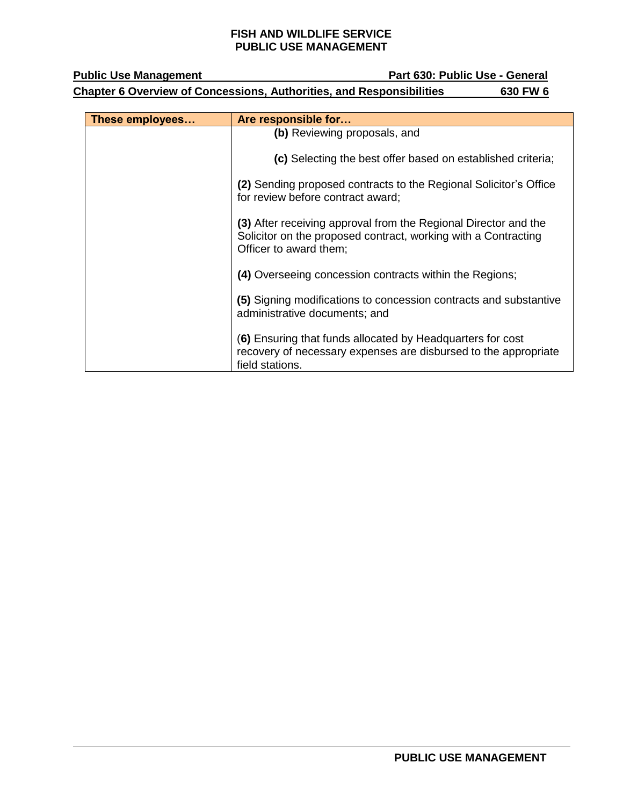| <b>Public Use Management</b>                                                            |                 | Part 630: Public Use - General                                                                                                                              |
|-----------------------------------------------------------------------------------------|-----------------|-------------------------------------------------------------------------------------------------------------------------------------------------------------|
| <b>Chapter 6 Overview of Concessions, Authorities, and Responsibilities</b><br>630 FW 6 |                 |                                                                                                                                                             |
|                                                                                         |                 |                                                                                                                                                             |
|                                                                                         | These employees | Are responsible for                                                                                                                                         |
|                                                                                         |                 | (b) Reviewing proposals, and                                                                                                                                |
|                                                                                         |                 | (c) Selecting the best offer based on established criteria;                                                                                                 |
|                                                                                         |                 | (2) Sending proposed contracts to the Regional Solicitor's Office<br>for review before contract award;                                                      |
|                                                                                         |                 | (3) After receiving approval from the Regional Director and the<br>Solicitor on the proposed contract, working with a Contracting<br>Officer to award them; |
|                                                                                         |                 | (4) Overseeing concession contracts within the Regions;                                                                                                     |
|                                                                                         |                 | (5) Signing modifications to concession contracts and substantive<br>administrative documents; and                                                          |
|                                                                                         |                 | (6) Ensuring that funds allocated by Headquarters for cost<br>recovery of necessary expenses are disbursed to the appropriate                               |

field stations.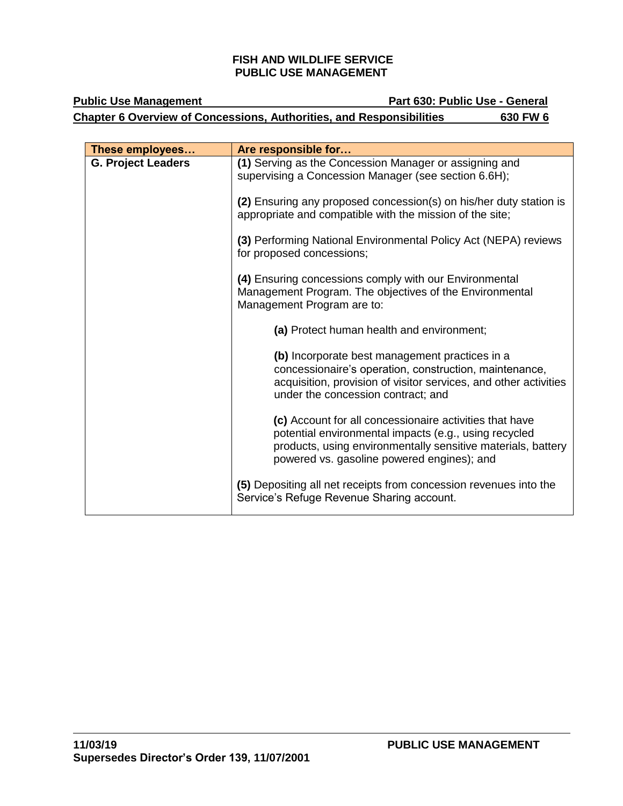| <b>Public Use Management</b>                                                | Part 630: Public Use - General |  |
|-----------------------------------------------------------------------------|--------------------------------|--|
| <b>Chapter 6 Overview of Concessions, Authorities, and Responsibilities</b> | 630 FW 6                       |  |

| These employees           | Are responsible for                                                                                                                                                                                                            |
|---------------------------|--------------------------------------------------------------------------------------------------------------------------------------------------------------------------------------------------------------------------------|
| <b>G. Project Leaders</b> | (1) Serving as the Concession Manager or assigning and<br>supervising a Concession Manager (see section 6.6H);                                                                                                                 |
|                           | (2) Ensuring any proposed concession(s) on his/her duty station is<br>appropriate and compatible with the mission of the site;                                                                                                 |
|                           | (3) Performing National Environmental Policy Act (NEPA) reviews<br>for proposed concessions;                                                                                                                                   |
|                           | (4) Ensuring concessions comply with our Environmental<br>Management Program. The objectives of the Environmental<br>Management Program are to:                                                                                |
|                           | (a) Protect human health and environment;                                                                                                                                                                                      |
|                           | (b) Incorporate best management practices in a<br>concessionaire's operation, construction, maintenance,<br>acquisition, provision of visitor services, and other activities<br>under the concession contract; and             |
|                           | (c) Account for all concessionaire activities that have<br>potential environmental impacts (e.g., using recycled<br>products, using environmentally sensitive materials, battery<br>powered vs. gasoline powered engines); and |
|                           | (5) Depositing all net receipts from concession revenues into the<br>Service's Refuge Revenue Sharing account.                                                                                                                 |